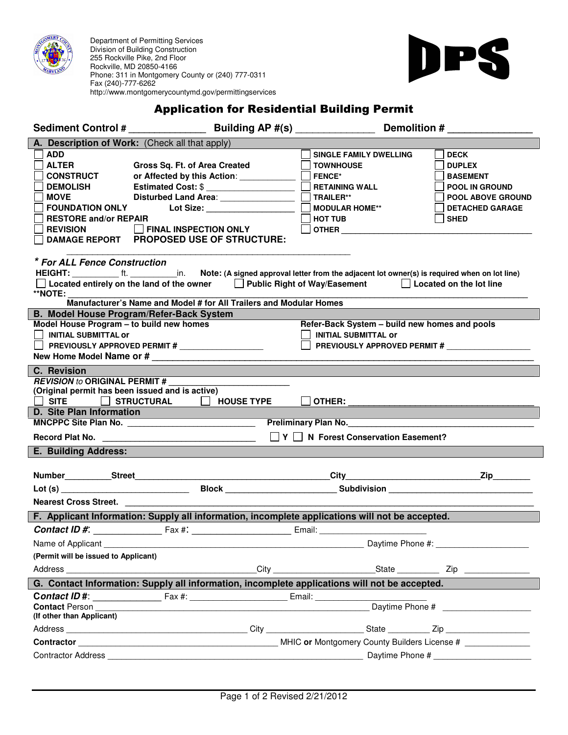

 Phone: 311 in Montgomery County or (240) 777-0311 Department of Permitting Services Division of Building Construction 255 Rockville Pike, 2nd Floor Rockville, MD 20850-4166 Fax (240)-777-6262 http://www.montgomerycountymd.gov/permittingservices



## Application for Residential Building Permit

|                                                                                                                                                                                                                                                                                                                                                                                                                      |                                                                                                                                                                                                                                                                                                                                                                       | Building AP #(s) ________________<br>Demolition #                                                                                                                                                                                                                                      |                                                                                                                                        |  |  |
|----------------------------------------------------------------------------------------------------------------------------------------------------------------------------------------------------------------------------------------------------------------------------------------------------------------------------------------------------------------------------------------------------------------------|-----------------------------------------------------------------------------------------------------------------------------------------------------------------------------------------------------------------------------------------------------------------------------------------------------------------------------------------------------------------------|----------------------------------------------------------------------------------------------------------------------------------------------------------------------------------------------------------------------------------------------------------------------------------------|----------------------------------------------------------------------------------------------------------------------------------------|--|--|
| A. Description of Work: (Check all that apply)                                                                                                                                                                                                                                                                                                                                                                       |                                                                                                                                                                                                                                                                                                                                                                       |                                                                                                                                                                                                                                                                                        |                                                                                                                                        |  |  |
| <b>ADD</b><br><b>ALTER</b><br><b>CONSTRUCT</b><br><b>DEMOLISH</b><br><b>MOVE</b><br><b>FOUNDATION ONLY</b><br><b>RESTORE and/or REPAIR</b><br><b>REVISION</b><br><b>DAMAGE REPORT</b><br>* For ALL Fence Construction<br>HEIGHT: ft. in.<br>**NOTE:                                                                                                                                                                  | Gross Sq. Ft. of Area Created<br>or Affected by this Action: ____________<br>Estimated Cost: \$<br>Disturbed Land Area: ________________<br>Lot Size: ___________________<br><b>FINAL INSPECTION ONLY</b><br><b>PROPOSED USE OF STRUCTURE:</b><br>$\Box$ Located entirely on the land of the owner $\Box$ Public Right of Way/Easement $\Box$ Located on the lot line | <b>SINGLE FAMILY DWELLING</b><br><b>TOWNHOUSE</b><br><b>FENCE*</b><br><b>RETAINING WALL</b><br><b>TRAILER**</b><br><b>MODULAR HOME**</b><br><b>HOT TUB</b><br><b>OTHER CONSTRUCTER</b><br>Note: (A signed approval letter from the adjacent lot owner(s) is required when on lot line) | <b>DECK</b><br><b>DUPLEX</b><br><b>BASEMENT</b><br><b>POOL IN GROUND</b><br>POOL ABOVE GROUND<br><b>DETACHED GARAGE</b><br><b>SHED</b> |  |  |
| Manufacturer's Name and Model # for All Trailers and Modular Homes                                                                                                                                                                                                                                                                                                                                                   |                                                                                                                                                                                                                                                                                                                                                                       |                                                                                                                                                                                                                                                                                        |                                                                                                                                        |  |  |
| B. Model House Program/Refer-Back System<br>Refer-Back System - build new homes and pools<br>Model House Program - to build new homes<br><b>INITIAL SUBMITTAL or</b><br><b>INITIAL SUBMITTAL OF</b><br>PREVIOUSLY APPROVED PERMIT #<br>PREVIOUSLY APPROVED PERMIT #                                                                                                                                                  |                                                                                                                                                                                                                                                                                                                                                                       |                                                                                                                                                                                                                                                                                        |                                                                                                                                        |  |  |
| C. Revision                                                                                                                                                                                                                                                                                                                                                                                                          |                                                                                                                                                                                                                                                                                                                                                                       |                                                                                                                                                                                                                                                                                        |                                                                                                                                        |  |  |
| <b>REVISION to ORIGINAL PERMIT #</b><br>(Original permit has been issued and is active)<br><b>SITE</b><br><b>STRUCTURAL</b><br>$\Box$<br>$\Box$ HOUSE TYPE<br>D. Site Plan Information<br><u> 1989 - Johann Barn, mars eta inperiodor eta inperiodor eta inperiodor eta inperiodor eta inperiodor eta inpe</u><br><u> 1989 - Johann Barnett, fransk politiker (</u><br>$\Box Y \Box N$ Forest Conservation Easement? |                                                                                                                                                                                                                                                                                                                                                                       |                                                                                                                                                                                                                                                                                        |                                                                                                                                        |  |  |
|                                                                                                                                                                                                                                                                                                                                                                                                                      |                                                                                                                                                                                                                                                                                                                                                                       |                                                                                                                                                                                                                                                                                        |                                                                                                                                        |  |  |
| E. Building Address:                                                                                                                                                                                                                                                                                                                                                                                                 |                                                                                                                                                                                                                                                                                                                                                                       |                                                                                                                                                                                                                                                                                        |                                                                                                                                        |  |  |
|                                                                                                                                                                                                                                                                                                                                                                                                                      |                                                                                                                                                                                                                                                                                                                                                                       |                                                                                                                                                                                                                                                                                        | $\overline{\mathsf{Zip}}$                                                                                                              |  |  |
|                                                                                                                                                                                                                                                                                                                                                                                                                      |                                                                                                                                                                                                                                                                                                                                                                       |                                                                                                                                                                                                                                                                                        |                                                                                                                                        |  |  |
|                                                                                                                                                                                                                                                                                                                                                                                                                      | Nearest Cross Street.                                                                                                                                                                                                                                                                                                                                                 |                                                                                                                                                                                                                                                                                        |                                                                                                                                        |  |  |
|                                                                                                                                                                                                                                                                                                                                                                                                                      | F. Applicant Information: Supply all information, incomplete applications will not be accepted.                                                                                                                                                                                                                                                                       |                                                                                                                                                                                                                                                                                        |                                                                                                                                        |  |  |
|                                                                                                                                                                                                                                                                                                                                                                                                                      |                                                                                                                                                                                                                                                                                                                                                                       |                                                                                                                                                                                                                                                                                        |                                                                                                                                        |  |  |
| Name of Applicant                                                                                                                                                                                                                                                                                                                                                                                                    |                                                                                                                                                                                                                                                                                                                                                                       | Daytime Phone #:                                                                                                                                                                                                                                                                       |                                                                                                                                        |  |  |
| (Permit will be issued to Applicant)                                                                                                                                                                                                                                                                                                                                                                                 |                                                                                                                                                                                                                                                                                                                                                                       |                                                                                                                                                                                                                                                                                        |                                                                                                                                        |  |  |
|                                                                                                                                                                                                                                                                                                                                                                                                                      |                                                                                                                                                                                                                                                                                                                                                                       |                                                                                                                                                                                                                                                                                        |                                                                                                                                        |  |  |
|                                                                                                                                                                                                                                                                                                                                                                                                                      | G. Contact Information: Supply all information, incomplete applications will not be accepted.                                                                                                                                                                                                                                                                         |                                                                                                                                                                                                                                                                                        |                                                                                                                                        |  |  |
|                                                                                                                                                                                                                                                                                                                                                                                                                      |                                                                                                                                                                                                                                                                                                                                                                       |                                                                                                                                                                                                                                                                                        |                                                                                                                                        |  |  |
| <b>Contact Person</b><br>(If other than Applicant)                                                                                                                                                                                                                                                                                                                                                                   |                                                                                                                                                                                                                                                                                                                                                                       |                                                                                                                                                                                                                                                                                        |                                                                                                                                        |  |  |
|                                                                                                                                                                                                                                                                                                                                                                                                                      |                                                                                                                                                                                                                                                                                                                                                                       |                                                                                                                                                                                                                                                                                        |                                                                                                                                        |  |  |
|                                                                                                                                                                                                                                                                                                                                                                                                                      |                                                                                                                                                                                                                                                                                                                                                                       |                                                                                                                                                                                                                                                                                        |                                                                                                                                        |  |  |